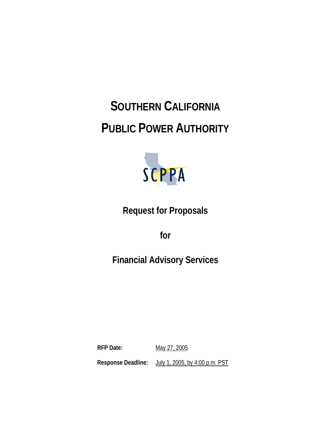# **SOUTHERN CALIFORNIA PUBLIC POWER AUTHORITY**



**Request for Proposals** 

**for** 

# **Financial Advisory Services**

**RFP Date:** May 27, 2005 **Response Deadline:** July 1, 2005, by 4:00 p.m. PST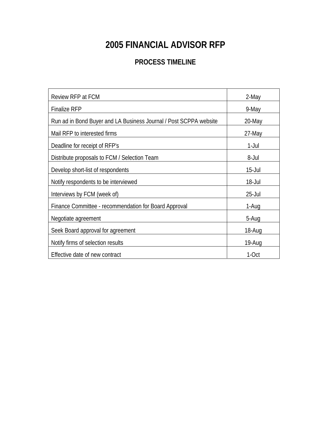# **2005 FINANCIAL ADVISOR RFP**

### **PROCESS TIMELINE**

| Review RFP at FCM                                                 | 2-May      |
|-------------------------------------------------------------------|------------|
| <b>Finalize RFP</b>                                               | 9-May      |
| Run ad in Bond Buyer and LA Business Journal / Post SCPPA website | 20-May     |
| Mail RFP to interested firms                                      | 27-May     |
| Deadline for receipt of RFP's                                     | $1$ -Jul   |
| Distribute proposals to FCM / Selection Team                      | 8-Jul      |
| Develop short-list of respondents                                 | $15 -$ Jul |
| Notify respondents to be interviewed                              | $18 -$ Jul |
| Interviews by FCM (week of)                                       | $25 -$ Jul |
| Finance Committee - recommendation for Board Approval             | 1-Aug      |
| Negotiate agreement                                               | 5-Aug      |
| Seek Board approval for agreement                                 | 18-Aug     |
| Notify firms of selection results                                 | 19-Aug     |
| Effective date of new contract                                    | 1-Oct      |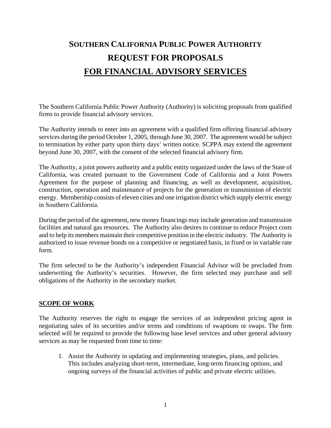# **SOUTHERN CALIFORNIA PUBLIC POWER AUTHORITY REQUEST FOR PROPOSALS FOR FINANCIAL ADVISORY SERVICES**

The Southern California Public Power Authority (Authority) is soliciting proposals from qualified firms to provide financial advisory services.

The Authority intends to enter into an agreement with a qualified firm offering financial advisory services during the period October 1, 2005, through June 30, 2007. The agreement would be subject to termination by either party upon thirty days' written notice. SCPPA may extend the agreement beyond June 30, 2007, with the consent of the selected financial advisory firm.

The Authority, a joint powers authority and a public entity organized under the laws of the State of California, was created pursuant to the Government Code of California and a Joint Powers Agreement for the purpose of planning and financing, as well as development, acquisition, construction, operation and maintenance of projects for the generation or transmission of electric energy. Membership consists of eleven cities and one irrigation district which supply electric energy in Southern California.

During the period of the agreement, new money financings may include generation and transmission facilities and natural gas resources. The Authority also desires to continue to reduce Project costs and to help its members maintain their competitive position in the electric industry. The Authority is authorized to issue revenue bonds on a competitive or negotiated basis, in fixed or in variable rate form.

The firm selected to be the Authority's independent Financial Advisor will be precluded from underwriting the Authority's securities. However, the firm selected may purchase and sell obligations of the Authority in the secondary market.

#### **SCOPE OF WORK**

The Authority reserves the right to engage the services of an independent pricing agent in negotiating sales of its securities and/or terms and conditions of swaptions or swaps. The firm selected will be required to provide the following base level services and other general advisory services as may be requested from time to time:

1. Assist the Authority in updating and implementing strategies, plans, and policies. This includes analyzing short-term, intermediate, long-term financing options, and ongoing surveys of the financial activities of public and private electric utilities.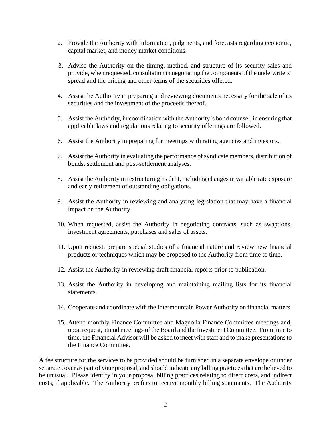- 2. Provide the Authority with information, judgments, and forecasts regarding economic, capital market, and money market conditions.
- 3. Advise the Authority on the timing, method, and structure of its security sales and provide, when requested, consultation in negotiating the components of the underwriters' spread and the pricing and other terms of the securities offered.
- 4. Assist the Authority in preparing and reviewing documents necessary for the sale of its securities and the investment of the proceeds thereof.
- 5. Assist the Authority, in coordination with the Authority's bond counsel, in ensuring that applicable laws and regulations relating to security offerings are followed.
- 6. Assist the Authority in preparing for meetings with rating agencies and investors.
- 7. Assist the Authority in evaluating the performance of syndicate members, distribution of bonds, settlement and post-settlement analyses.
- 8. Assist the Authority in restructuring its debt, including changes in variable rate exposure and early retirement of outstanding obligations.
- 9. Assist the Authority in reviewing and analyzing legislation that may have a financial impact on the Authority.
- 10. When requested, assist the Authority in negotiating contracts, such as swaptions, investment agreements, purchases and sales of assets.
- 11. Upon request, prepare special studies of a financial nature and review new financial products or techniques which may be proposed to the Authority from time to time.
- 12. Assist the Authority in reviewing draft financial reports prior to publication.
- 13. Assist the Authority in developing and maintaining mailing lists for its financial statements.
- 14. Cooperate and coordinate with the Intermountain Power Authority on financial matters.
- 15. Attend monthly Finance Committee and Magnolia Finance Committee meetings and, upon request, attend meetings of the Board and the Investment Committee. From time to time, the Financial Advisor will be asked to meet with staff and to make presentations to the Finance Committee.

A fee structure for the services to be provided should be furnished in a separate envelope or under separate cover as part of your proposal, and should indicate any billing practices that are believed to be unusual. Please identify in your proposal billing practices relating to direct costs, and indirect costs, if applicable. The Authority prefers to receive monthly billing statements. The Authority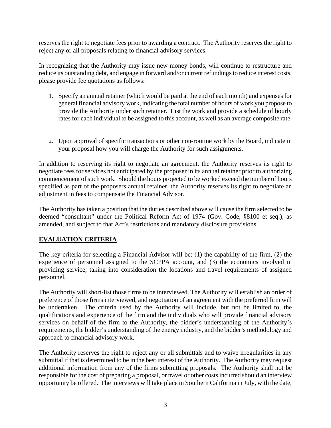reserves the right to negotiate fees prior to awarding a contract. The Authority reserves the right to reject any or all proposals relating to financial advisory services.

In recognizing that the Authority may issue new money bonds, will continue to restructure and reduce its outstanding debt, and engage in forward and/or current refundings to reduce interest costs, please provide fee quotations as follows:

- 1. Specify an annual retainer (which would be paid at the end of each month) and expenses for general financial advisory work, indicating the total number of hours of work you propose to provide the Authority under such retainer. List the work and provide a schedule of hourly rates for each individual to be assigned to this account, as well as an average composite rate.
- 2. Upon approval of specific transactions or other non-routine work by the Board, indicate in your proposal how you will charge the Authority for such assignments.

In addition to reserving its right to negotiate an agreement, the Authority reserves its right to negotiate fees for services not anticipated by the proposer in its annual retainer prior to authorizing commencement of such work. Should the hours projected to be worked exceed the number of hours specified as part of the proposers annual retainer, the Authority reserves its right to negotiate an adjustment in fees to compensate the Financial Advisor.

The Authority has taken a position that the duties described above will cause the firm selected to be deemed "consultant" under the Political Reform Act of 1974 (Gov. Code, §8100 et seq.), as amended, and subject to that Act's restrictions and mandatory disclosure provisions.

#### **EVALUATION CRITERIA**

The key criteria for selecting a Financial Advisor will be: (1) the capability of the firm, (2) the experience of personnel assigned to the SCPPA account, and (3) the economics involved in providing service, taking into consideration the locations and travel requirements of assigned personnel.

The Authority will short-list those firms to be interviewed. The Authority will establish an order of preference of those firms interviewed, and negotiation of an agreement with the preferred firm will be undertaken. The criteria used by the Authority will include, but not be limited to, the qualifications and experience of the firm and the individuals who will provide financial advisory services on behalf of the firm to the Authority, the bidder's understanding of the Authority's requirements, the bidder's understanding of the energy industry, and the bidder's methodology and approach to financial advisory work.

The Authority reserves the right to reject any or all submittals and to waive irregularities in any submittal if that is determined to be in the best interest of the Authority. The Authority may request additional information from any of the firms submitting proposals. The Authority shall not be responsible for the cost of preparing a proposal, or travel or other costs incurred should an interview opportunity be offered. The interviews will take place in Southern California in July, with the date,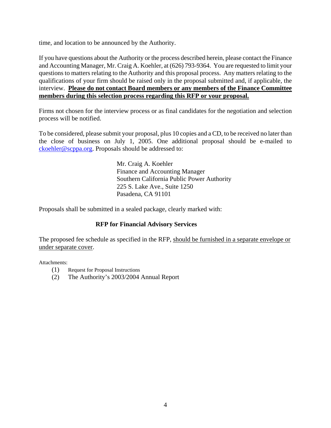time, and location to be announced by the Authority.

If you have questions about the Authority or the process described herein, please contact the Finance and Accounting Manager, Mr. Craig A. Koehler, at (626) 793-9364. You are requested to limit your questions to matters relating to the Authority and this proposal process. Any matters relating to the qualifications of your firm should be raised only in the proposal submitted and, if applicable, the interview. **Please do not contact Board members or any members of the Finance Committee members during this selection process regarding this RFP or your proposal.**

Firms not chosen for the interview process or as final candidates for the negotiation and selection process will be notified.

To be considered, please submit your proposal, plus 10 copies and a CD, to be received no later than the close of business on July 1, 2005. One additional proposal should be e-mailed to ckoehler@scppa.org. Proposals should be addressed to:

> Mr. Craig A. Koehler Finance and Accounting Manager Southern California Public Power Authority 225 S. Lake Ave., Suite 1250 Pasadena, CA 91101

Proposals shall be submitted in a sealed package, clearly marked with:

#### **RFP for Financial Advisory Services**

The proposed fee schedule as specified in the RFP, should be furnished in a separate envelope or under separate cover.

Attachments:

- (1) Request for Proposal Instructions
- (2) The Authority's 2003/2004 Annual Report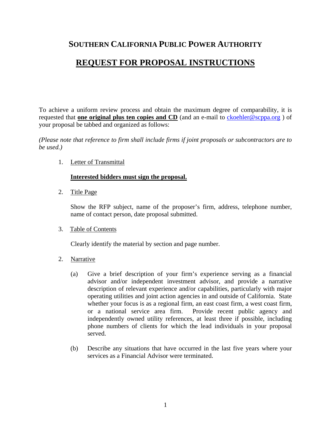### **SOUTHERN CALIFORNIA PUBLIC POWER AUTHORITY**

### **REQUEST FOR PROPOSAL INSTRUCTIONS**

To achieve a uniform review process and obtain the maximum degree of comparability, it is requested that **one original plus ten copies and CD** (and an e-mail to ckoehler@scppa.org ) of your proposal be tabbed and organized as follows:

*(Please note that reference to firm shall include firms if joint proposals or subcontractors are to be used.)* 

1. Letter of Transmittal

#### **Interested bidders must sign the proposal.**

2. Title Page

Show the RFP subject, name of the proposer's firm, address, telephone number, name of contact person, date proposal submitted.

#### 3. Table of Contents

Clearly identify the material by section and page number.

- 2. Narrative
	- (a) Give a brief description of your firm's experience serving as a financial advisor and/or independent investment advisor, and provide a narrative description of relevant experience and/or capabilities, particularly with major operating utilities and joint action agencies in and outside of California. State whether your focus is as a regional firm, an east coast firm, a west coast firm, or a national service area firm. Provide recent public agency and independently owned utility references, at least three if possible, including phone numbers of clients for which the lead individuals in your proposal served.
	- (b) Describe any situations that have occurred in the last five years where your services as a Financial Advisor were terminated.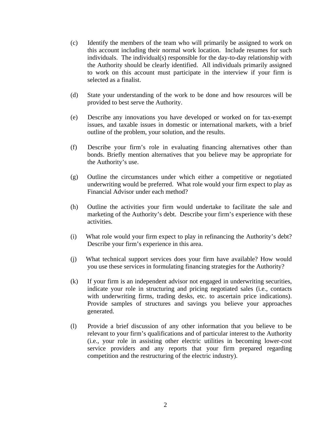- (c) Identify the members of the team who will primarily be assigned to work on this account including their normal work location. Include resumes for such individuals. The individual(s) responsible for the day-to-day relationship with the Authority should be clearly identified. All individuals primarily assigned to work on this account must participate in the interview if your firm is selected as a finalist.
- (d) State your understanding of the work to be done and how resources will be provided to best serve the Authority.
- (e) Describe any innovations you have developed or worked on for tax-exempt issues, and taxable issues in domestic or international markets, with a brief outline of the problem, your solution, and the results.
- (f) Describe your firm's role in evaluating financing alternatives other than bonds. Briefly mention alternatives that you believe may be appropriate for the Authority's use.
- (g) Outline the circumstances under which either a competitive or negotiated underwriting would be preferred. What role would your firm expect to play as Financial Advisor under each method?
- (h) Outline the activities your firm would undertake to facilitate the sale and marketing of the Authority's debt. Describe your firm's experience with these activities.
- (i) What role would your firm expect to play in refinancing the Authority's debt? Describe your firm's experience in this area.
- (j) What technical support services does your firm have available? How would you use these services in formulating financing strategies for the Authority?
- (k) If your firm is an independent advisor not engaged in underwriting securities, indicate your role in structuring and pricing negotiated sales (i.e., contacts with underwriting firms, trading desks, etc. to ascertain price indications). Provide samples of structures and savings you believe your approaches generated.
- (l) Provide a brief discussion of any other information that you believe to be relevant to your firm's qualifications and of particular interest to the Authority (i.e., your role in assisting other electric utilities in becoming lower-cost service providers and any reports that your firm prepared regarding competition and the restructuring of the electric industry).